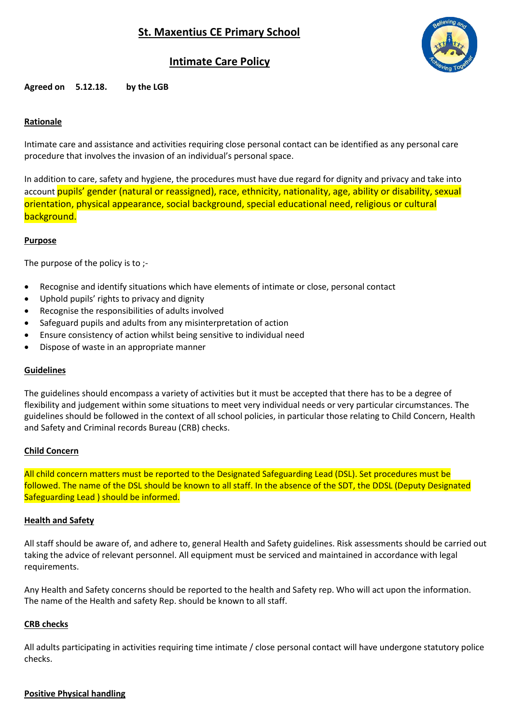**Intimate Care Policy**



# **Agreed on 5.12.18. by the LGB**

# **Rationale**

Intimate care and assistance and activities requiring close personal contact can be identified as any personal care procedure that involves the invasion of an individual's personal space.

In addition to care, safety and hygiene, the procedures must have due regard for dignity and privacy and take into account pupils' gender (natural or reassigned), race, ethnicity, nationality, age, ability or disability, sexual orientation, physical appearance, social background, special educational need, religious or cultural background.

### **Purpose**

The purpose of the policy is to ;-

- Recognise and identify situations which have elements of intimate or close, personal contact
- Uphold pupils' rights to privacy and dignity
- Recognise the responsibilities of adults involved
- Safeguard pupils and adults from any misinterpretation of action
- Ensure consistency of action whilst being sensitive to individual need
- Dispose of waste in an appropriate manner

### **Guidelines**

The guidelines should encompass a variety of activities but it must be accepted that there has to be a degree of flexibility and judgement within some situations to meet very individual needs or very particular circumstances. The guidelines should be followed in the context of all school policies, in particular those relating to Child Concern, Health and Safety and Criminal records Bureau (CRB) checks.

### **Child Concern**

All child concern matters must be reported to the Designated Safeguarding Lead (DSL). Set procedures must be followed. The name of the DSL should be known to all staff. In the absence of the SDT, the DDSL (Deputy Designated Safeguarding Lead ) should be informed.

#### **Health and Safety**

All staff should be aware of, and adhere to, general Health and Safety guidelines. Risk assessments should be carried out taking the advice of relevant personnel. All equipment must be serviced and maintained in accordance with legal requirements.

Any Health and Safety concerns should be reported to the health and Safety rep. Who will act upon the information. The name of the Health and safety Rep. should be known to all staff.

### **CRB checks**

All adults participating in activities requiring time intimate / close personal contact will have undergone statutory police checks.

#### **Positive Physical handling**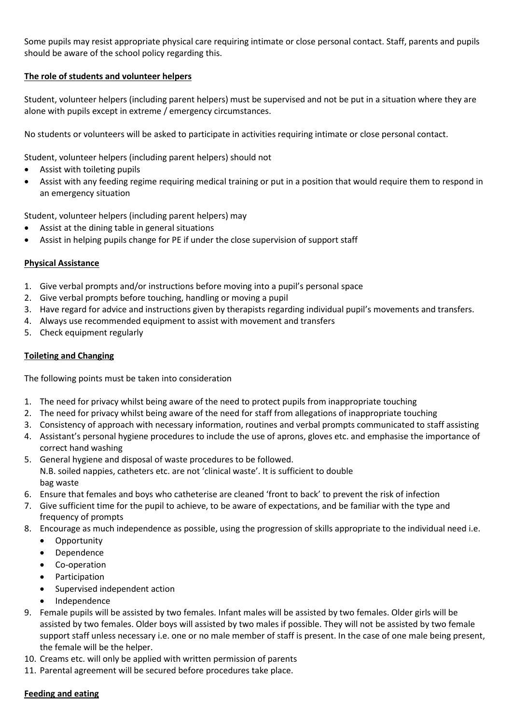Some pupils may resist appropriate physical care requiring intimate or close personal contact. Staff, parents and pupils should be aware of the school policy regarding this.

# **The role of students and volunteer helpers**

Student, volunteer helpers (including parent helpers) must be supervised and not be put in a situation where they are alone with pupils except in extreme / emergency circumstances.

No students or volunteers will be asked to participate in activities requiring intimate or close personal contact.

Student, volunteer helpers (including parent helpers) should not

- Assist with toileting pupils
- Assist with any feeding regime requiring medical training or put in a position that would require them to respond in an emergency situation

Student, volunteer helpers (including parent helpers) may

- Assist at the dining table in general situations
- Assist in helping pupils change for PE if under the close supervision of support staff

### **Physical Assistance**

- 1. Give verbal prompts and/or instructions before moving into a pupil's personal space
- 2. Give verbal prompts before touching, handling or moving a pupil
- 3. Have regard for advice and instructions given by therapists regarding individual pupil's movements and transfers.
- 4. Always use recommended equipment to assist with movement and transfers
- 5. Check equipment regularly

# **Toileting and Changing**

The following points must be taken into consideration

- 1. The need for privacy whilst being aware of the need to protect pupils from inappropriate touching
- 2. The need for privacy whilst being aware of the need for staff from allegations of inappropriate touching
- 3. Consistency of approach with necessary information, routines and verbal prompts communicated to staff assisting
- 4. Assistant's personal hygiene procedures to include the use of aprons, gloves etc. and emphasise the importance of correct hand washing
- 5. General hygiene and disposal of waste procedures to be followed. N.B. soiled nappies, catheters etc. are not 'clinical waste'. It is sufficient to double bag waste
- 6. Ensure that females and boys who catheterise are cleaned 'front to back' to prevent the risk of infection
- 7. Give sufficient time for the pupil to achieve, to be aware of expectations, and be familiar with the type and frequency of prompts
- 8. Encourage as much independence as possible, using the progression of skills appropriate to the individual need i.e.
	- Opportunity
	- Dependence
	- Co-operation
	- **•** Participation
	- Supervised independent action
	- Independence
- 9. Female pupils will be assisted by two females. Infant males will be assisted by two females. Older girls will be assisted by two females. Older boys will assisted by two males if possible. They will not be assisted by two female support staff unless necessary i.e. one or no male member of staff is present. In the case of one male being present, the female will be the helper.
- 10. Creams etc. will only be applied with written permission of parents
- 11. Parental agreement will be secured before procedures take place.

### **Feeding and eating**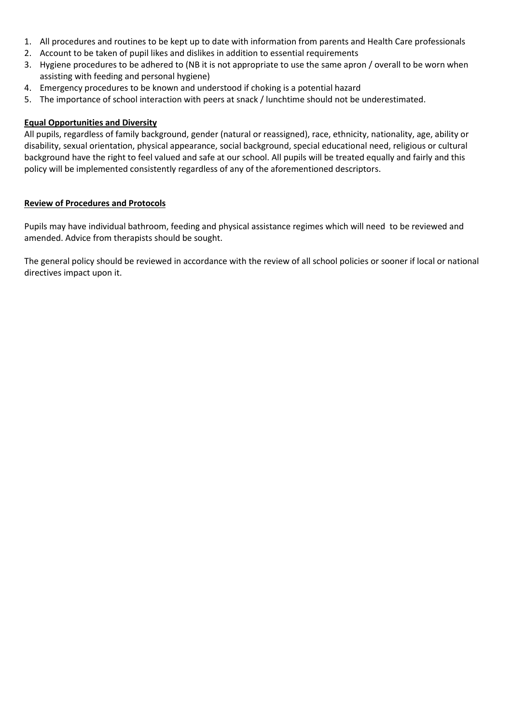- 1. All procedures and routines to be kept up to date with information from parents and Health Care professionals
- 2. Account to be taken of pupil likes and dislikes in addition to essential requirements
- 3. Hygiene procedures to be adhered to (NB it is not appropriate to use the same apron / overall to be worn when assisting with feeding and personal hygiene)
- 4. Emergency procedures to be known and understood if choking is a potential hazard
- 5. The importance of school interaction with peers at snack / lunchtime should not be underestimated.

# **Equal Opportunities and Diversity**

All pupils, regardless of family background, gender (natural or reassigned), race, ethnicity, nationality, age, ability or disability, sexual orientation, physical appearance, social background, special educational need, religious or cultural background have the right to feel valued and safe at our school. All pupils will be treated equally and fairly and this policy will be implemented consistently regardless of any of the aforementioned descriptors.

# **Review of Procedures and Protocols**

Pupils may have individual bathroom, feeding and physical assistance regimes which will need to be reviewed and amended. Advice from therapists should be sought.

The general policy should be reviewed in accordance with the review of all school policies or sooner if local or national directives impact upon it.